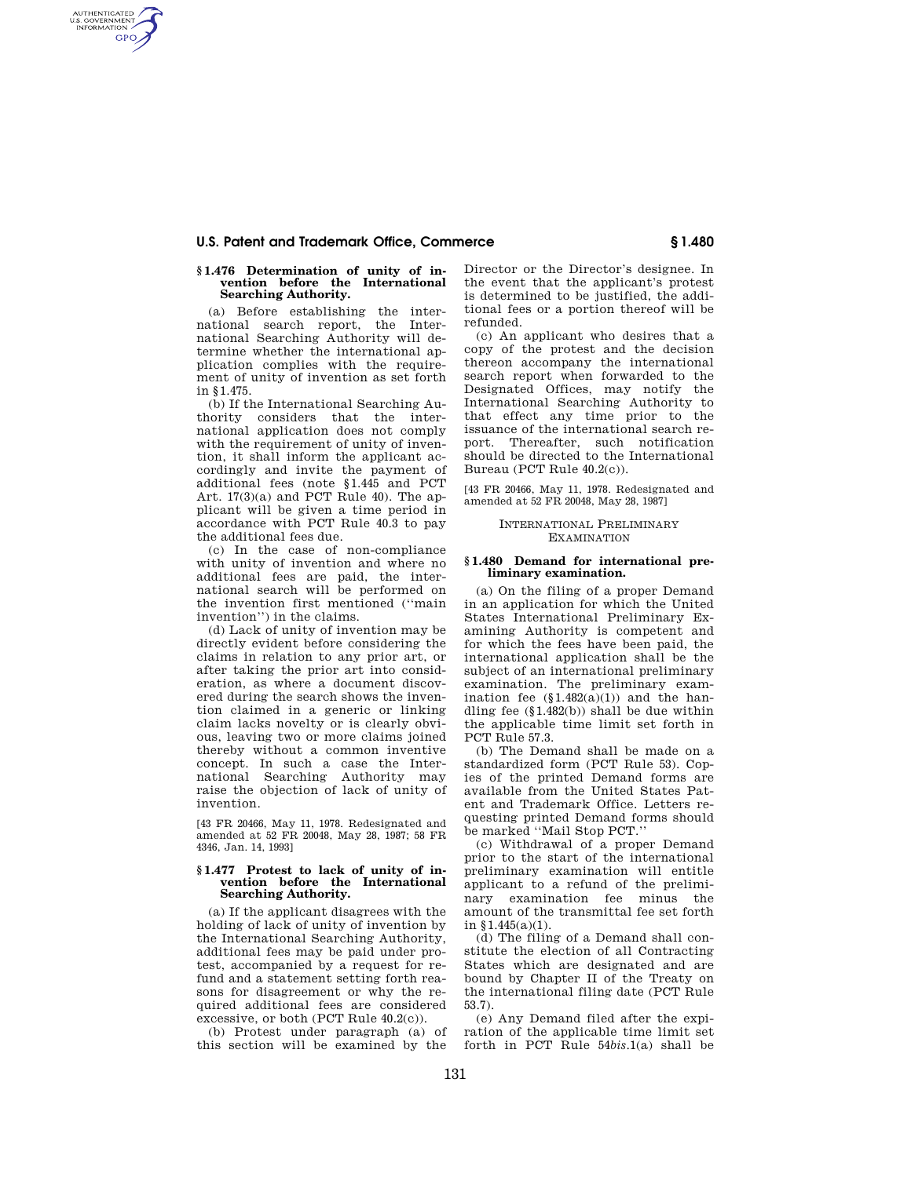# **U.S. Patent and Trademark Office, Commerce § 1.480**

# **§ 1.476 Determination of unity of invention before the International Searching Authority.**

AUTHENTICATED<br>U.S. GOVERNMENT<br>INFORMATION **GPO** 

> (a) Before establishing the international search report, the International Searching Authority will determine whether the international application complies with the requirement of unity of invention as set forth in §1.475.

> (b) If the International Searching Authority considers that the international application does not comply with the requirement of unity of invention, it shall inform the applicant accordingly and invite the payment of additional fees (note §1.445 and PCT Art.  $17(3)(a)$  and PCT Rule 40). The applicant will be given a time period in accordance with PCT Rule 40.3 to pay the additional fees due.

> (c) In the case of non-compliance with unity of invention and where no additional fees are paid, the international search will be performed on the invention first mentioned (''main invention'') in the claims.

> (d) Lack of unity of invention may be directly evident before considering the claims in relation to any prior art, or after taking the prior art into consideration, as where a document discovered during the search shows the invention claimed in a generic or linking claim lacks novelty or is clearly obvious, leaving two or more claims joined thereby without a common inventive concept. In such a case the International Searching Authority may raise the objection of lack of unity of invention.

> [43 FR 20466, May 11, 1978. Redesignated and amended at 52 FR 20048, May 28, 1987; 58 FR 4346, Jan. 14, 1993]

### **§ 1.477 Protest to lack of unity of invention before the International Searching Authority.**

(a) If the applicant disagrees with the holding of lack of unity of invention by the International Searching Authority, additional fees may be paid under protest, accompanied by a request for refund and a statement setting forth reasons for disagreement or why the required additional fees are considered excessive, or both (PCT Rule 40.2(c)).

(b) Protest under paragraph (a) of this section will be examined by the Director or the Director's designee. In the event that the applicant's protest is determined to be justified, the additional fees or a portion thereof will be refunded.

(c) An applicant who desires that a copy of the protest and the decision thereon accompany the international search report when forwarded to the Designated Offices, may notify the International Searching Authority to that effect any time prior to the issuance of the international search report. Thereafter, such notification should be directed to the International Bureau (PCT Rule 40.2(c)).

[43 FR 20466, May 11, 1978. Redesignated and amended at 52 FR 20048, May 28, 1987]

### INTERNATIONAL PRELIMINARY **EXAMINATION**

# **§ 1.480 Demand for international preliminary examination.**

(a) On the filing of a proper Demand in an application for which the United States International Preliminary Examining Authority is competent and for which the fees have been paid, the international application shall be the subject of an international preliminary examination. The preliminary examination fee  $(\S1.482(a)(1))$  and the handling fee (§1.482(b)) shall be due within the applicable time limit set forth in PCT Rule 57.3.

(b) The Demand shall be made on a standardized form (PCT Rule 53). Copies of the printed Demand forms are available from the United States Patent and Trademark Office. Letters requesting printed Demand forms should be marked ''Mail Stop PCT.''

(c) Withdrawal of a proper Demand prior to the start of the international preliminary examination will entitle applicant to a refund of the preliminary examination fee minus the amount of the transmittal fee set forth in §1.445(a)(1).

(d) The filing of a Demand shall constitute the election of all Contracting States which are designated and are bound by Chapter II of the Treaty on the international filing date (PCT Rule 53.7).

(e) Any Demand filed after the expiration of the applicable time limit set forth in PCT Rule 54*bis*.1(a) shall be